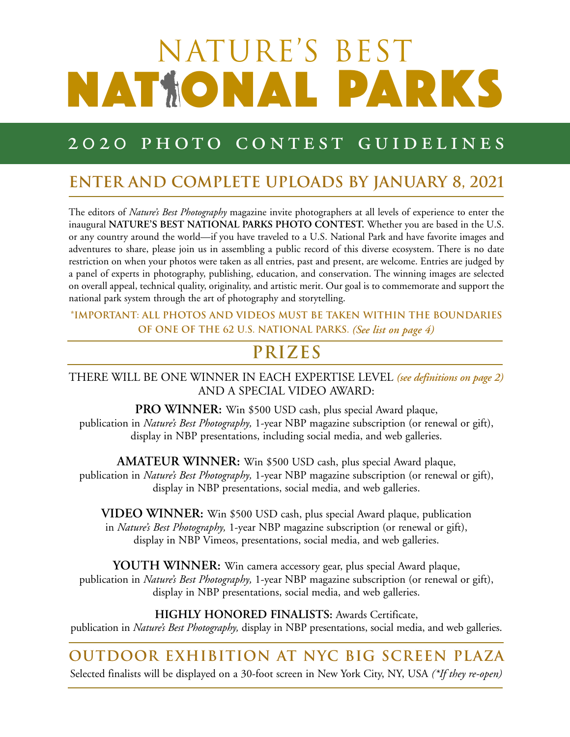# NATURE'S BEST NAT**IONAL PARKS**

### 2020 PHOTO CONTEST GUIDELINES

#### **ENTER AND COMPLETE UPLOADS BY JANUARY 8, 2021**

The editors of *Nature's Best Photography* magazine invite photographers at all levels of experience to enter the inaugural **NATURE'S BEST NATIONAL PARKS PHOTO CONTEST.** Whether you are based in the U.S. or any country around the world—if you have traveled to a U.S. National Park and have favorite images and adventures to share, please join us in assembling a public record of this diverse ecosystem. There is no date restriction on when your photos were taken as all entries, past and present, are welcome. Entries are judged by a panel of experts in photography, publishing, education, and conservation. The winning images are selected on overall appeal, technical quality, originality, and artistic merit. Our goal is to commemorate and support the national park system through the art of photography and storytelling.

**\*important: All photos and videos MUST be taken within the boundaries of one of the 62 U.S. National Parks.** *(See list on page 4)*

## **PRIZES**

THERE WILL BE ONE WINNER IN EACH EXPERTISE LEVEL *(see definitions on page 2)* AND A SPECIAL VIDEO AWARD:

**PRO WINNER:** Win \$500 USD cash, plus special Award plaque, publication in *Nature's Best Photography,* 1-year NBP magazine subscription (or renewal or gift), display in NBP presentations, including social media, and web galleries.

**AMATEUR WINNER:** Win \$500 USD cash, plus special Award plaque, publication in *Nature's Best Photography,* 1-year NBP magazine subscription (or renewal or gift), display in NBP presentations, social media, and web galleries.

**VIDEO WINNER:** Win \$500 USD cash, plus special Award plaque, publication in *Nature's Best Photography,* 1-year NBP magazine subscription (or renewal or gift), display in NBP Vimeos, presentations, social media, and web galleries.

**YOUTH WINNER:** Win camera accessory gear, plus special Award plaque, publication in *Nature's Best Photography,* 1-year NBP magazine subscription (or renewal or gift), display in NBP presentations, social media, and web galleries.

#### **HIGHLY HONORED FINALISTS:** Awards Certificate,

publication in *Nature's Best Photography,* display in NBP presentations, social media, and web galleries.

### **outdoor exhibition at NYC big screen plaza**

Selected finalists will be displayed on a 30-foot screen in New York City, NY, USA *(\*If they re-open)*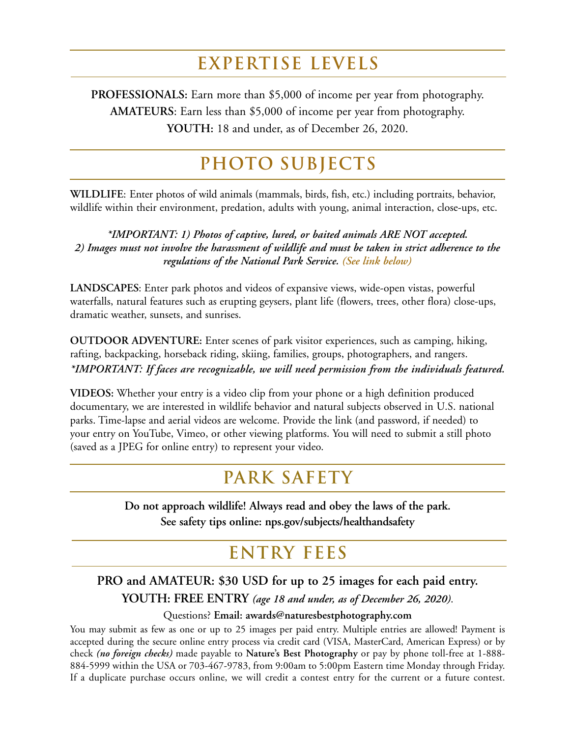## **EXPERTISE LEVELS**

**PROFESSIONALS:** Earn more than \$5,000 of income per year from photography. **AMATEURS**: Earn less than \$5,000 of income per year from photography. **YOUTH:** 18 and under, as of December 26, 2020.

## **PHOTO SUBJECTS**

**WILDLIFE**: Enter photos of wild animals (mammals, birds, fish, etc.) including portraits, behavior, wildlife within their environment, predation, adults with young, animal interaction, close-ups, etc.

*\*IMPORTANT: 1) Photos of captive, lured, or baited animals ARE NOT accepted. 2) Images must not involve the harassment of wildlife and must be taken in strict adherence to the regulations of the National Park Service. (See link below)*

**LANDSCAPES**: Enter park photos and videos of expansive views, wide-open vistas, powerful waterfalls, natural features such as erupting geysers, plant life (flowers, trees, other flora) close-ups, dramatic weather, sunsets, and sunrises.

**OUTDOOR ADVENTURE:** Enter scenes of park visitor experiences, such as camping, hiking, rafting, backpacking, horseback riding, skiing, families, groups, photographers, and rangers. *\*IMPORTANT: If faces are recognizable, we will need permission from the individuals featured.*

**VIDEOS:** Whether your entry is a video clip from your phone or a high definition produced documentary, we are interested in wildlife behavior and natural subjects observed in U.S. national parks. Time-lapse and aerial videos are welcome. Provide the link (and password, if needed) to your entry on YouTube, Vimeo, or other viewing platforms. You will need to submit a still photo (saved as a JPEG for online entry) to represent your video.

#### **PARK SAFETY**

**Do not approach wildlife! Always read and obey the laws of the park. See safety tips online: [nps.gov/subjects/healthandsafety](https://www.nps.gov/subjects/healthandsafety/index.htm)**

### **ENTRY FEES**

**PRO and AMATEUR: \$30 USD for up to 25 images for each paid entry.**

**YOUTH: FREE ENTRY** *(age 18 and under, as of December 26, 2020)*.

Questions? **Email: [awards@naturesbestphotography.com](mailto:awards@naturesbestphotography.com)**

You may submit as few as one or up to 25 images per paid entry. Multiple entries are allowed! Payment is accepted during the secure online entry process via credit card (VISA, MasterCard, American Express) or by check *(no foreign checks)* made payable to **Nature's Best Photography** or pay by phone toll-free at 1-888- 884-5999 within the USA or 703-467-9783, from 9:00am to 5:00pm Eastern time Monday through Friday. If a duplicate purchase occurs online, we will credit a contest entry for the current or a future contest.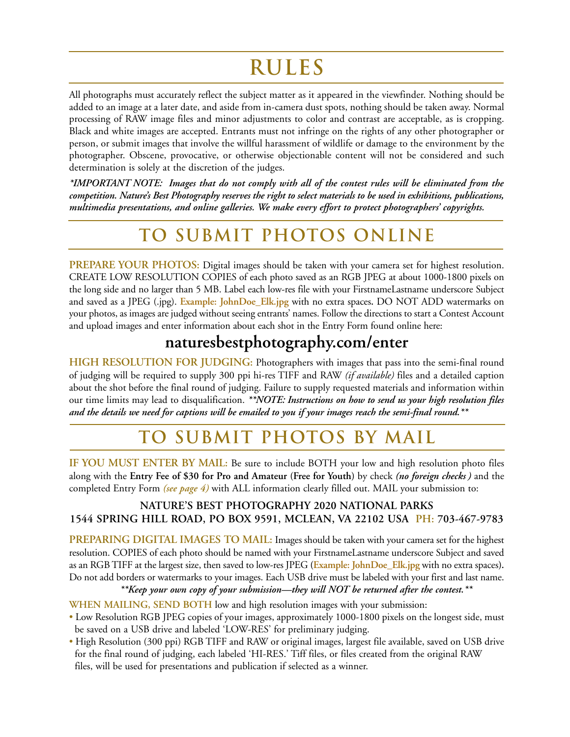## **RULES**

All photographs must accurately reflect the subject matter as it appeared in the viewfinder. Nothing should be added to an image at a later date, and aside from in-camera dust spots, nothing should be taken away. Normal processing of RAW image files and minor adjustments to color and contrast are acceptable, as is cropping. Black and white images are accepted. Entrants must not infringe on the rights of any other photographer or person, or submit images that involve the willful harassment of wildlife or damage to the environment by the photographer. Obscene, provocative, or otherwise objectionable content will not be considered and such determination is solely at the discretion of the judges.

\*IMPORTANT NOTE: Images that do not comply with all of the contest rules will be eliminated from the competition. Nature's Best Photography reserves the right to select materials to be used in exhibitions, publications, *multimedia presentations, and online galleries. We make every effort to protect photographers' copyrights.*

## **TO submit photoS ONLINE**

**PREPARE YOUR PHOTOS:** Digital images should be taken with your camera set for highest resolution. CREATE LOW RESOLUTION COPIES of each photo saved as an RGB JPEG at about 1000-1800 pixels on the long side and no larger than 5 MB. Label each low-res file with your FirstnameLastname underscore Subject and saved as a JPEG (.jpg). **Example: JohnDoe\_Elk.jpg** with no extra spaces**.** DO NOT ADD watermarks on your photos, as images are judged without seeing entrants' names. Follow the directions to start a Contest Account and upload images and enter information about each shot in the Entry Form found online here:

#### **[naturesbestphotography.com/enter](https://www.naturesbestphotography.com/contest2/entry_1.php?cid=162)**

**HIGH RESOLUTION FOR JUDGING:** Photographers with images that pass into the semi-final round of judging will be required to supply 300 ppi hi-res TIFF and RAW *(if available)* files and a detailed caption about the shot before the final round of judging. Failure to supply requested materials and information within our time limits may lead to disqualification. *\*\*NOTE: Instructions on how to send us your high resolution files* and the details we need for captions will be emailed to you if your images reach the semi-final round. \*\*

## **TO SUBMIT photos by mail**

**IF YOU MUST ENTER BY MAIL:** Be sure to include BOTH your low and high resolution photo files along with the **Entry Fee of \$30 for Pro and Amateur (Free for Youth)** by check *(no foreign checks )* and the completed Entry Form *(see page 4)* with ALL information clearly filled out. MAIL your submission to:

#### **NATURE'S BEST PHOTOGRAPHY 2020 NATIONAL PARKS 1544 SPRING HILL ROAD, PO BOX 9591, MCLEAN, VA 22102 USA PH: 703-467-9783**

#### **PREPARING DIGITAL IMAGES TO MAIL:** Images should be taken with your camera set for the highest resolution. COPIES of each photo should be named with your FirstnameLastname underscore Subject and saved

as an RGB TIFF at the largest size, then saved to low-res JPEG **(Example: JohnDoe\_Elk.jpg** with no extra spaces**).** Do not add borders or watermarks to your images. Each USB drive must be labeled with your first and last name. *\*\*Keep your own copy of your submission—they will NOT be returned after the contest.\*\**

**WHEN MAILING, SEND BOTH** low and high resolution images with your submission:

- Low Resolution RGB JPEG copies of your images, approximately 1000-1800 pixels on the longest side, must be saved on a USB drive and labeled 'LOW-RES' for preliminary judging.
- High Resolution (300 ppi) RGB TIFF and RAW or original images, largest file available, saved on USB drive for the final round of judging, each labeled 'HI-RES.' Tiff files, or files created from the original RAW files, will be used for presentations and publication if selected as a winner.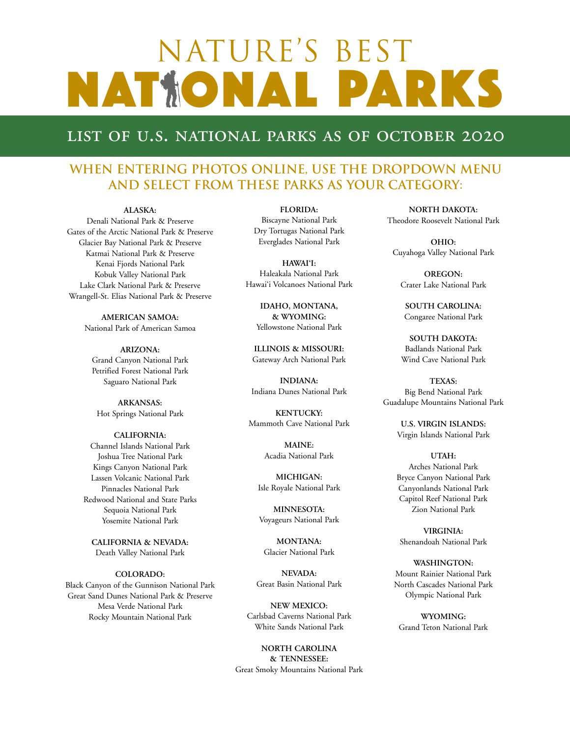## NATURE'S BEST NATIONAL PARKS

#### list of u.s. national parks as of october 2020

#### **When entering photos online, use the dropdown menu and select from these Parks as your category:**

#### **ALASKA:**

Denali National Park & Preserve Gates of the Arctic National Park & Preserve Glacier Bay National Park & Preserve Katmai National Park & Preserve Kenai Fjords National Park Kobuk Valley National Park Lake Clark National Park & Preserve Wrangell-St. Elias National Park & Preserve

> **AMERICAN SAMOA:** National Park of American Samoa

**ARIZONA:** Grand Canyon National Park Petrified Forest National Park Saguaro National Park

**ARKANSAS:** Hot Springs National Park

#### **CALIFORNIA:** Channel Islands National Park Joshua Tree National Park Kings Canyon National Park Lassen Volcanic National Park Pinnacles National Park Redwood National and State Parks Sequoia National Park Yosemite National Park

**CALIFORNIA & NEVADA:** Death Valley National Park

#### **COLORADO:**

Black Canyon of the Gunnison National Park Great Sand Dunes National Park & Preserve Mesa Verde National Park Rocky Mountain National Park

**FLORIDA:**

Biscayne National Park Dry Tortugas National Park Everglades National Park

**HAWAI'I:** Haleakala National Park Hawai'i Volcanoes National Park

> **IDAHO, MONTANA, & WYOMING:** Yellowstone National Park

**ILLINOIS & MISSOURI:** Gateway Arch National Park

**INDIANA:** Indiana Dunes National Park

**KENTUCKY:** Mammoth Cave National Park

> **MAINE:** Acadia National Park

**MICHIGAN:** Isle Royale National Park

**MINNESOTA:** Voyageurs National Park

**MONTANA:** Glacier National Park

**NEVADA:** Great Basin National Park

**NEW MEXICO:** Carlsbad Caverns National Park White Sands National Park

**NORTH CAROLINA & TENNESSEE:** Great Smoky Mountains National Park

**NORTH DAKOTA:** Theodore Roosevelt National Park

**OHIO:** Cuyahoga Valley National Park

**OREGON:** Crater Lake National Park

**SOUTH CAROLINA:** Congaree National Park

**SOUTH DAKOTA:** Badlands National Park Wind Cave National Park

**TEXAS:** Big Bend National Park Guadalupe Mountains National Park

> **U.S. VIRGIN ISLANDS:** Virgin Islands National Park

#### **UTAH:**

Arches National Park Bryce Canyon National Park Canyonlands National Park Capitol Reef National Park Zion National Park

**VIRGINIA:** Shenandoah National Park

**WASHINGTON:** Mount Rainier National Park North Cascades National Park Olympic National Park

**WYOMING:** Grand Teton National Park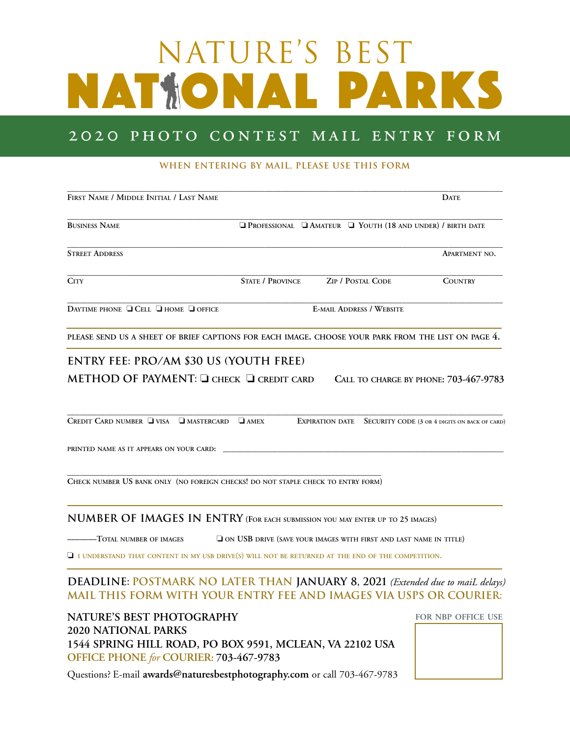# NATURE'S BEST NATIONAL PARKS

#### 2020 PHOTO CONTEST MAIL ENTRY FORM

#### **WHEN ENTERING BY MAIL, PLEASE USE THIS FORM**

| FIRST NAME / MIDDLE INITIAL / LAST NAME                                                                                                                                                                                |                                                                   |                                 | <b>DATE</b>                                                         |
|------------------------------------------------------------------------------------------------------------------------------------------------------------------------------------------------------------------------|-------------------------------------------------------------------|---------------------------------|---------------------------------------------------------------------|
| <b>BUSINESS NAME</b>                                                                                                                                                                                                   |                                                                   |                                 | <b>O PROFESSIONAL C AMATEUR C YOUTH (18 AND UNDER) / BIRTH DATE</b> |
| <b>STREET ADDRESS</b>                                                                                                                                                                                                  |                                                                   |                                 | <b>APARTMENT NO.</b>                                                |
| <b>CITY</b>                                                                                                                                                                                                            | <b>STATE / PROVINCE</b>                                           | <b>ZIP / POSTAL CODE</b>        | <b>COUNTRY</b>                                                      |
| DAYTIME PHONE <b>Q</b> CELL <b>Q</b> HOME <b>Q</b> OFFICE                                                                                                                                                              |                                                                   | <b>E-MAIL ADDRESS / WEBSITE</b> |                                                                     |
| PLEASE SEND US A SHEET OF BRIEF CAPTIONS FOR EACH IMAGE. CHOOSE YOUR PARK FROM THE LIST ON PAGE 4.                                                                                                                     |                                                                   |                                 |                                                                     |
| METHOD OF PAYMENT: Q CHECK Q CREDIT CARD CALL TO CHARGE BY PHONE: 703-467-9783<br>CREDIT CARD NUMBER $\Box$ VISA $\Box$ MASTERCARD $\Box$ AMEX<br>PRINTED NAME AS IT APPEARS ON YOUR CARD:                             |                                                                   |                                 | EXPIRATION DATE SECURITY CODE (3 OR 4 DIGITS ON BACK OF CARD)       |
| CHECK NUMBER US BANK ONLY (NO FOREIGN CHECKS! DO NOT STAPLE CHECK TO ENTRY FORM)                                                                                                                                       |                                                                   |                                 |                                                                     |
| NUMBER OF IMAGES IN ENTRY (FOR EACH SUBMISSION YOU MAY ENTER UP TO 25 IMAGES)<br>----Total number of images<br>$\Box$ I UNDERSTAND THAT CONTENT IN MY USB DRIVE(S) WILL NOT BE RETURNED AT THE END OF THE COMPETITION. | ON USB DRIVE (SAVE YOUR IMAGES WITH FIRST AND LAST NAME IN TITLE) |                                 |                                                                     |
| DEADLINE: POSTMARK NO LATER THAN JANUARY 8, 2021 (Extended due to mail delays)<br>MAIL THIS FORM WITH YOUR ENTRY FEE AND IMAGES VIA USPS OR COURIER:                                                                   |                                                                   |                                 |                                                                     |
| NATURE'S BEST PHOTOGRAPHY<br><b>2020 NATIONAL PARKS</b><br>1544 SPRING HILL ROAD, PO BOX 9591, MCLEAN, VA 22102 USA                                                                                                    |                                                                   |                                 | FOR NBP OFFICE USE                                                  |

Questions? E-mail **[awards@naturesbestphotography.com](mailto:awards@naturesbestphotography.com)** or call 703-467-9783

**OFFICE PHONE** *for* **COURIER: 703-467-9783**